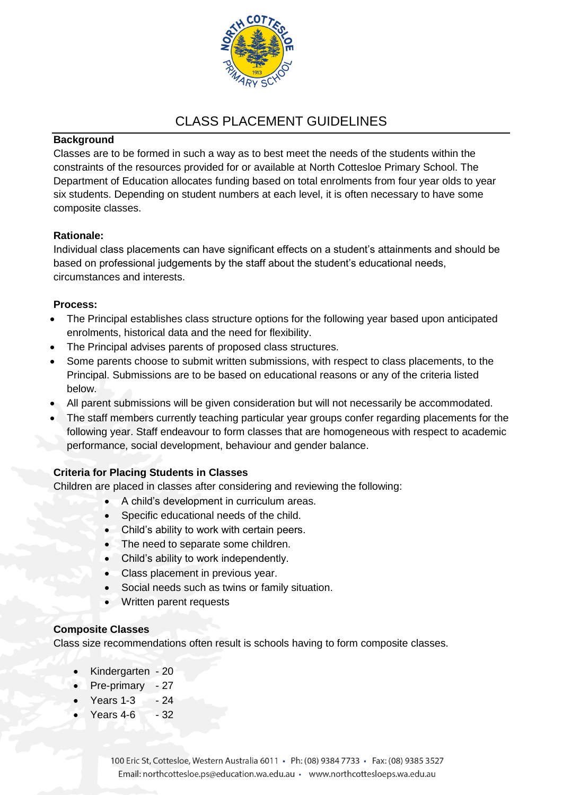

# CLASS PLACEMENT GUIDELINES

#### **Background**

Classes are to be formed in such a way as to best meet the needs of the students within the constraints of the resources provided for or available at North Cottesloe Primary School. The Department of Education allocates funding based on total enrolments from four year olds to year six students. Depending on student numbers at each level, it is often necessary to have some composite classes.

## **Rationale:**

Individual class placements can have significant effects on a student's attainments and should be based on professional judgements by the staff about the student's educational needs, circumstances and interests.

## **Process:**

- The Principal establishes class structure options for the following year based upon anticipated enrolments, historical data and the need for flexibility.
- The Principal advises parents of proposed class structures.
- Some parents choose to submit written submissions, with respect to class placements, to the Principal. Submissions are to be based on educational reasons or any of the criteria listed below.
- All parent submissions will be given consideration but will not necessarily be accommodated.
- The staff members currently teaching particular year groups confer regarding placements for the following year. Staff endeavour to form classes that are homogeneous with respect to academic performance, social development, behaviour and gender balance.

# **Criteria for Placing Students in Classes**

Children are placed in classes after considering and reviewing the following:

- A child's development in curriculum areas.
- Specific educational needs of the child.
- Child's ability to work with certain peers.
- The need to separate some children.
- Child's ability to work independently.
- Class placement in previous year.
- Social needs such as twins or family situation.
- Written parent requests

#### **Composite Classes**

Class size recommendations often result is schools having to form composite classes.

- Kindergarten 20
- Pre-primary 27
- Years 1-3 24
- $\bullet$  Years 4-6  $-32$